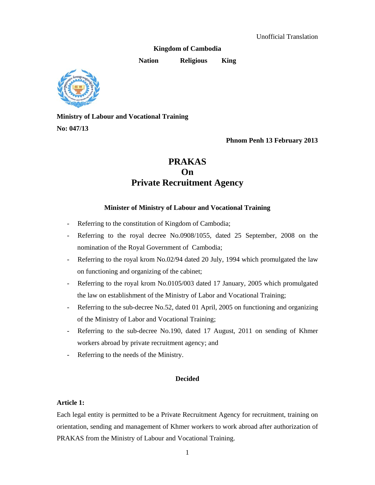**Kingdom of Cambodia** 

**Nation Religious King** 



**Ministry of Labour and Vocational Training No: 047/13** 

 **Phnom Penh 13 February 2013** 

# **PRAKAS On Private Recruitment Agency**

# **Minister of Ministry of Labour and Vocational Training**

- Referring to the constitution of Kingdom of Cambodia;
- Referring to the royal decree No.0908/1055, dated 25 September, 2008 on the nomination of the Royal Government of Cambodia;
- Referring to the royal krom No.02/94 dated 20 July, 1994 which promulgated the law on functioning and organizing of the cabinet;
- Referring to the royal krom No.0105/003 dated 17 January, 2005 which promulgated the law on establishment of the Ministry of Labor and Vocational Training;
- Referring to the sub-decree No.52, dated 01 April, 2005 on functioning and organizing of the Ministry of Labor and Vocational Training;
- Referring to the sub-decree No.190, dated 17 August, 2011 on sending of Khmer workers abroad by private recruitment agency; and
- Referring to the needs of the Ministry.

# **Decided**

# **Article 1:**

Each legal entity is permitted to be a Private Recruitment Agency for recruitment, training on orientation, sending and management of Khmer workers to work abroad after authorization of PRAKAS from the Ministry of Labour and Vocational Training.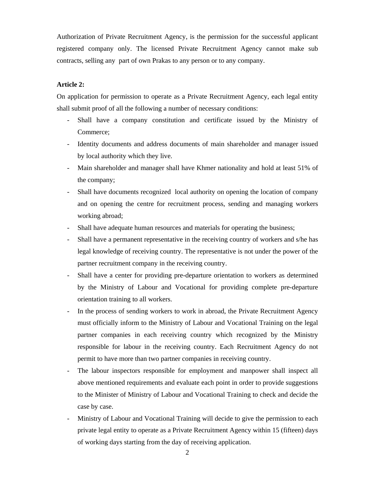Authorization of Private Recruitment Agency, is the permission for the successful applicant registered company only. The licensed Private Recruitment Agency cannot make sub contracts, selling any part of own Prakas to any person or to any company.

# **Article 2:**

On application for permission to operate as a Private Recruitment Agency, each legal entity shall submit proof of all the following a number of necessary conditions:

- Shall have a company constitution and certificate issued by the Ministry of Commerce;
- Identity documents and address documents of main shareholder and manager issued by local authority which they live.
- Main shareholder and manager shall have Khmer nationality and hold at least 51% of the company;
- Shall have documents recognized local authority on opening the location of company and on opening the centre for recruitment process, sending and managing workers working abroad;
- Shall have adequate human resources and materials for operating the business;
- Shall have a permanent representative in the receiving country of workers and s/he has legal knowledge of receiving country. The representative is not under the power of the partner recruitment company in the receiving country.
- Shall have a center for providing pre-departure orientation to workers as determined by the Ministry of Labour and Vocational for providing complete pre-departure orientation training to all workers.
- In the process of sending workers to work in abroad, the Private Recruitment Agency must officially inform to the Ministry of Labour and Vocational Training on the legal partner companies in each receiving country which recognized by the Ministry responsible for labour in the receiving country. Each Recruitment Agency do not permit to have more than two partner companies in receiving country.
- The labour inspectors responsible for employment and manpower shall inspect all above mentioned requirements and evaluate each point in order to provide suggestions to the Minister of Ministry of Labour and Vocational Training to check and decide the case by case.
- Ministry of Labour and Vocational Training will decide to give the permission to each private legal entity to operate as a Private Recruitment Agency within 15 (fifteen) days of working days starting from the day of receiving application.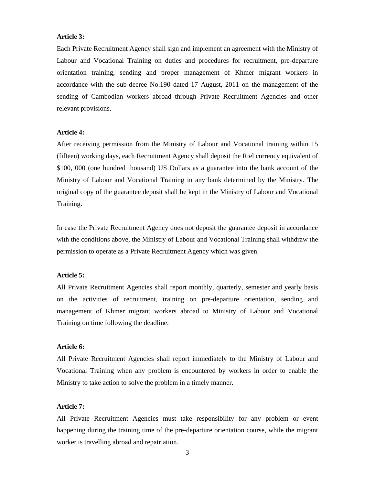# **Article 3:**

Each Private Recruitment Agency shall sign and implement an agreement with the Ministry of Labour and Vocational Training on duties and procedures for recruitment, pre-departure orientation training, sending and proper management of Khmer migrant workers in accordance with the sub-decree No.190 dated 17 August, 2011 on the management of the sending of Cambodian workers abroad through Private Recruitment Agencies and other relevant provisions.

#### **Article 4:**

After receiving permission from the Ministry of Labour and Vocational training within 15 (fifteen) working days, each Recruitment Agency shall deposit the Riel currency equivalent of \$100, 000 (one hundred thousand) US Dollars as a guarantee into the bank account of the Ministry of Labour and Vocational Training in any bank determined by the Ministry. The original copy of the guarantee deposit shall be kept in the Ministry of Labour and Vocational Training.

In case the Private Recruitment Agency does not deposit the guarantee deposit in accordance with the conditions above, the Ministry of Labour and Vocational Training shall withdraw the permission to operate as a Private Recruitment Agency which was given.

#### **Article 5:**

All Private Recruitment Agencies shall report monthly, quarterly, semester and yearly basis on the activities of recruitment, training on pre-departure orientation, sending and management of Khmer migrant workers abroad to Ministry of Labour and Vocational Training on time following the deadline.

# **Article 6:**

All Private Recruitment Agencies shall report immediately to the Ministry of Labour and Vocational Training when any problem is encountered by workers in order to enable the Ministry to take action to solve the problem in a timely manner.

#### **Article 7:**

All Private Recruitment Agencies must take responsibility for any problem or event happening during the training time of the pre-departure orientation course, while the migrant worker is travelling abroad and repatriation.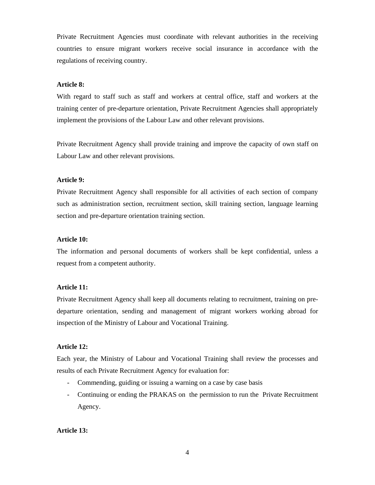Private Recruitment Agencies must coordinate with relevant authorities in the receiving countries to ensure migrant workers receive social insurance in accordance with the regulations of receiving country.

# **Article 8:**

With regard to staff such as staff and workers at central office, staff and workers at the training center of pre-departure orientation, Private Recruitment Agencies shall appropriately implement the provisions of the Labour Law and other relevant provisions.

Private Recruitment Agency shall provide training and improve the capacity of own staff on Labour Law and other relevant provisions.

#### **Article 9:**

Private Recruitment Agency shall responsible for all activities of each section of company such as administration section, recruitment section, skill training section, language learning section and pre-departure orientation training section.

# **Article 10:**

The information and personal documents of workers shall be kept confidential, unless a request from a competent authority.

#### **Article 11:**

Private Recruitment Agency shall keep all documents relating to recruitment, training on predeparture orientation, sending and management of migrant workers working abroad for inspection of the Ministry of Labour and Vocational Training.

# **Article 12:**

Each year, the Ministry of Labour and Vocational Training shall review the processes and results of each Private Recruitment Agency for evaluation for:

- Commending, guiding or issuing a warning on a case by case basis
- Continuing or ending the PRAKAS on the permission to run the Private Recruitment Agency.

# **Article 13:**